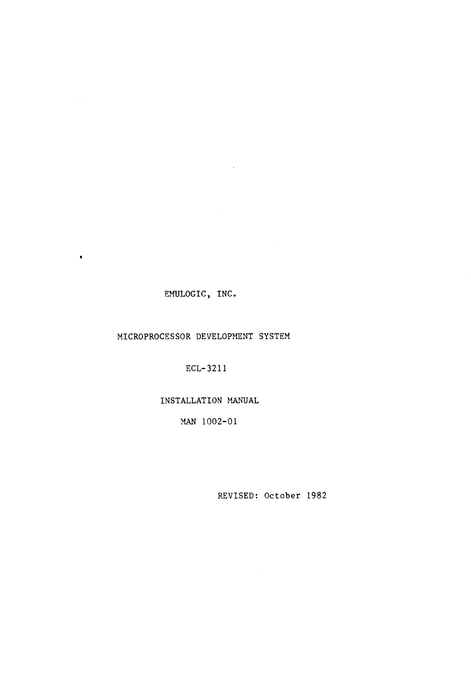# EMULOGIC, INC.

 $\bullet$ 

# MICROPROCESSOR DEVELOPMENT SYSTEM

ECL-3211

# INSTALLATION MANUAL

MAN 1002-01

REVISED: October 1982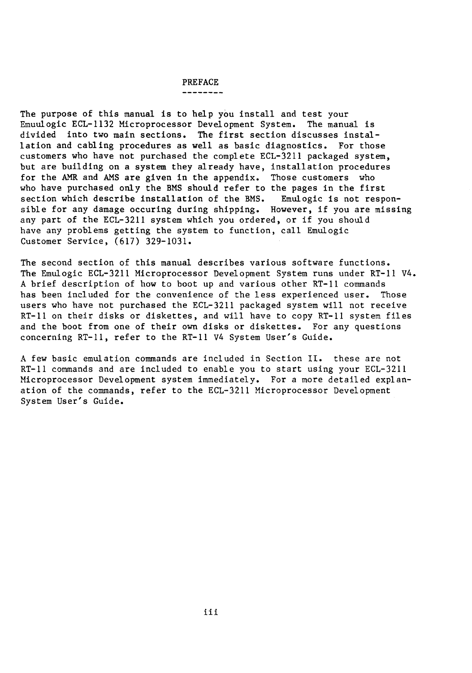# PREFACE

The purpose of this manual is to help you install and test your Emuulogic ECL-1132 Microprocessor Development System. The manual is divided into two main sections. The first section discusses installation and cabling procedures as well as basic diagnostics. For those customers who have not purchased the complete ECL-3211 packaged system, but are building on a system they already have, installation procedures for the AMR and AMS are given in the appendix. Those customers who who have purchased only the BMS should refer to the pages in the first<br>section which describe installation of the BMS. Emulogic is not responsection which describe installation of the BMS. sible for any damage occuring during shipping. However, if you are missing any part of the ECL-3211 system which you ordered, or if you should have any problems getting the system to function, call Emulogic Customer Service, (617) 329-1031.

The second section of this manual describes various software functions. The Emulogic ECL-3211 Microprocessor Development System runs under RT-11 V4. A brief description of how to boot up and various other RT-11 commands has been included for the convenience of the less experienced user. Those users who have not purchased the ECL-3211 packaged system will not receive RT-11 on their disks or diskettes, and will have to copy RT-11 system files and the boot from one of their own disks or diskettes. For any questions concerning RT-11, refer to the RT-11 V4 System User's Guide.

A few basic emulation commands are included in Section II. these are not RT-11 commands and are included to enable you to start using your ECL-3211 Microprocessor Development system immediately. For a more detailed explanation of the commands, refer to the ECL-3211 Microprocessor Development System User's Guide.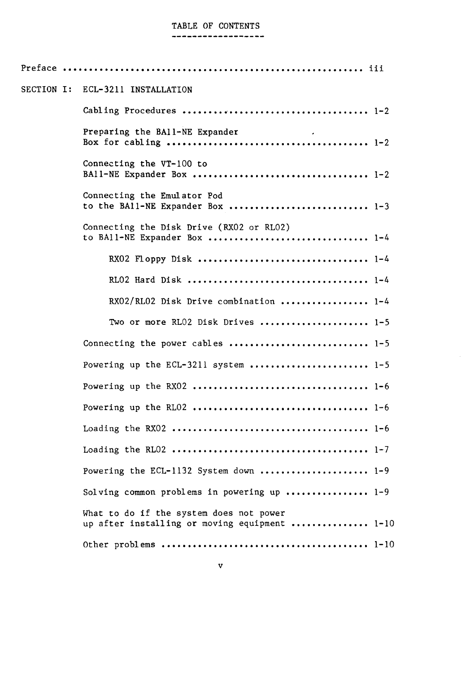# TABLE OF CONTENTS

#### ------------------

| <b>SECTION I:</b> | ECL-3211 INSTALLATION                                                                    |  |
|-------------------|------------------------------------------------------------------------------------------|--|
|                   |                                                                                          |  |
|                   | Preparing the BA11-NE Expander                                                           |  |
|                   | Connecting the VT-100 to                                                                 |  |
|                   | Connecting the Emulator Pod<br>to the BA11-NE Expander Box  1-3                          |  |
|                   | Connecting the Disk Drive (RX02 or RL02)                                                 |  |
|                   |                                                                                          |  |
|                   |                                                                                          |  |
|                   | RX02/RL02 Disk Drive combination  1-4                                                    |  |
|                   | Two or more RL02 Disk Drives  1-5                                                        |  |
|                   | Connecting the power cables  1-5                                                         |  |
|                   | Powering up the ECL-3211 system  1-5                                                     |  |
|                   |                                                                                          |  |
|                   |                                                                                          |  |
|                   |                                                                                          |  |
|                   |                                                                                          |  |
|                   | Powering the ECL-1132 System down  1-9                                                   |  |
|                   | Solving common problems in powering up $1-9$                                             |  |
|                   | What to do if the system does not power<br>up after installing or moving equipment  1-10 |  |
|                   |                                                                                          |  |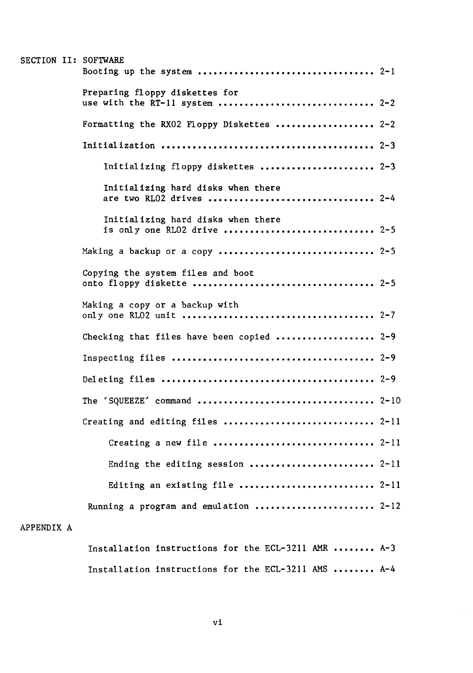|            | SECTION II: SOFTWARE                                              |
|------------|-------------------------------------------------------------------|
|            | Preparing floppy diskettes for<br>use with the RT-11 system  2-2  |
|            | Formatting the RX02 Floppy Diskettes  2-2                         |
|            |                                                                   |
|            | Initializing floppy diskettes  2-3                                |
|            | Initializing hard disks when there<br>are two RL02 drives  2-4    |
|            | Initializing hard disks when there<br>is only one RL02 drive  2-5 |
|            | Making a backup or a copy  2-5                                    |
|            | Copying the system files and boot                                 |
|            | Making a copy or a backup with                                    |
|            | Checking that files have been copied  2-9                         |
|            |                                                                   |
|            |                                                                   |
|            |                                                                   |
|            | Creating and editing files  2-11                                  |
|            |                                                                   |
|            | Ending the editing session  2-11                                  |
|            | Editing an existing file  2-11                                    |
|            | Running a program and emulation  2-12                             |
| APPENDIX A |                                                                   |
|            | Installation instructions for the ECL-3211 AMR  A-3               |

| THOCALLACIÓN INSCLUCTIONS TOL CHC DOD JEIL MIN TTTTITTITT AL |  |  |  |  |
|--------------------------------------------------------------|--|--|--|--|
| Installation instructions for the ECL-3211 AMS  A-4          |  |  |  |  |

 $\hat{\beta}$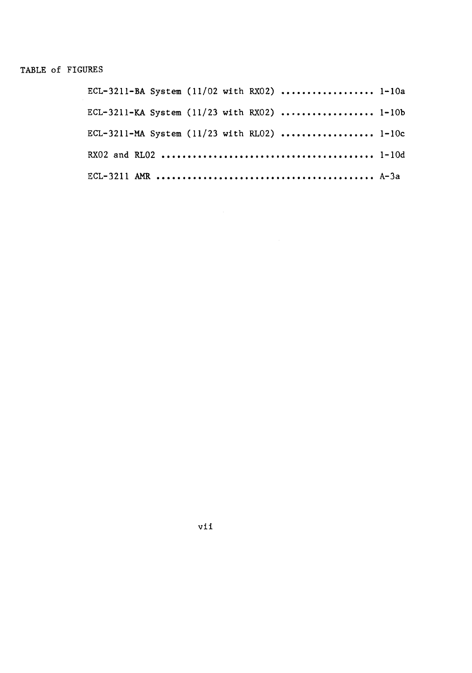# TABLE of FIGURES

|  | ECL-3211-BA System (11/02 with RX02)  1-10a |  |
|--|---------------------------------------------|--|
|  | ECL-3211-KA System (11/23 with RX02)  1-10b |  |
|  | ECL-3211-MA System (11/23 with RL02)  1-10c |  |
|  |                                             |  |
|  |                                             |  |

vii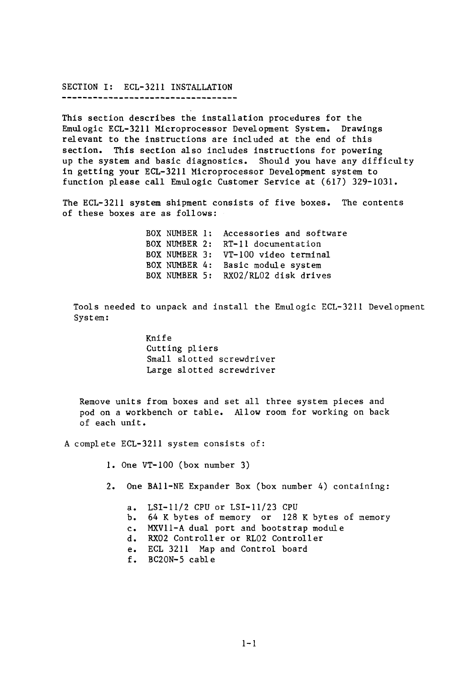# SECTION I: ECL-3211 INSTALLATION

------------------------------------

This section describes the installation procedures for the Emulogic ECL-3211 Microprocessor Development System. Drawings relevant to the instructions are included at the end of this section. This section also includes instructions for powering up the system and basic diagnostics. Should you have any difficulty in getting your ECL-3211 Microprocessor Development system to function please call Emulogic Customer Service at (617) 329-1031.

The ECL-3211 system shipment consists of five boxes. The contents of these boxes are as follows:

> BOX NUMBER 1: Accessories and software BOX NUMBER 2: RT-11 documentation BOX NUMBER 3: VT-100 video terminal BOX NUMBER 4: Basic module system BOX NUMBER 5: RX02/RL02 disk drives

Tools needed to unpack and install the Emulogic ECL-3211 Development System:

> Knife Cutting pliers Small slotted screwdriver Large slotted screwdriver

Remove units from boxes and set all three system pieces and pod on a workbench or table. Allow room for working on back of each unit.

A complete ECL-3211 system consists of:

1. One VT-100 (box number 3)

2. One BA11-NE Expander Box (box number 4) containing:

- a. LSI-11/2 CPU or LSI-l1/23 CPU
- b. 64 K bytes of memory or 128 K bytes of memory
- c. MXV11-A dual port and bootstrap module
- d. RX02 Controller or RL02 Controller
- e. ECL 3211 Map and Control board
- f. BC20N-5 cable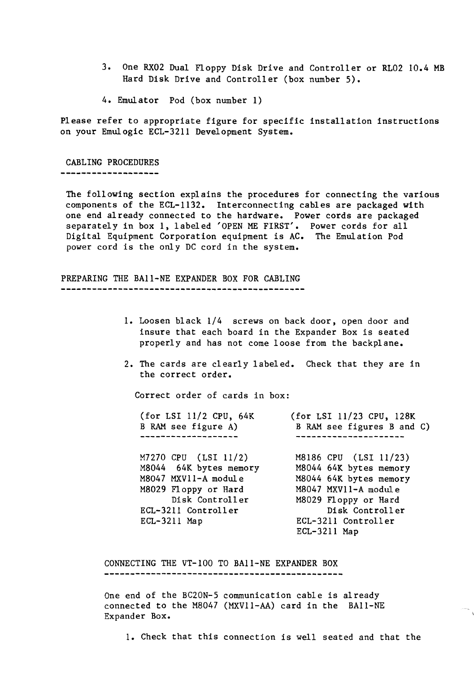- 3. One RX02 Dual Floppy Disk Drive and Controller or RL02 10.4 MB Hard Disk Drive and Controller (box number 5).
- 4. Emulator Pod (box number 1)

Please refer to appropriate figure for specific installation instructions on your Emulogic ECL-32II Development System.

#### CABLING PROCEDURES

--------------------

The following section explains the procedures for connecting the various components of the ECL-II32. Interconnecting cables are packaged with one end already connected to the hardware. Power cords are packaged separately in box 1, labeled 'OPEN ME FIRST'. Power cords for all Digital Equipment Corporation equipment is AC. The Emulation Pod power cord is the only DC cord in the system.

PREPARING THE BAII-NE EXPANDER BOX FOR CABLING 

- 1. Loosen black 1/4 screws on back door, open door and insure that each board in the Expander Box is seated properly and has not come loose from the backplane.
- 2. The cards are clearly labeled. Check that they are in the correct order.

Correct order of cards in box:

| (for LSI 11/2 CPU, 64K<br>B RAM see figure A) | (for LSI 11/23 CPU, 128K<br>B RAM see figures B and C) |
|-----------------------------------------------|--------------------------------------------------------|
| M7270 CPU (LSI 11/2)                          | M8186 CPU (LSI 11/23)                                  |
| M8044 64K bytes memory                        | M8044 64K bytes memory                                 |
| M8047 MXV11-A module                          | M8044 64K bytes memory                                 |
| M8029 Floppy or Hard                          | M8047 MXV11-A module                                   |
| Disk Controller                               | M8029 Floppy or Hard                                   |
| ECL-3211 Controller                           | Disk Controller                                        |
| $ECL-3211$ Map                                | ECL-3211 Controller                                    |
|                                               | $ECL-3211$ Map                                         |

CONNECTING THE VT-I00 TO BAII-NE EXPANDER BOX 

One end of the BC20N-5 communication cable is already connected to the MB047 (MXVll-AA) card in the BAll-NE Expander Box.

1. Check that this connection is well seated and that the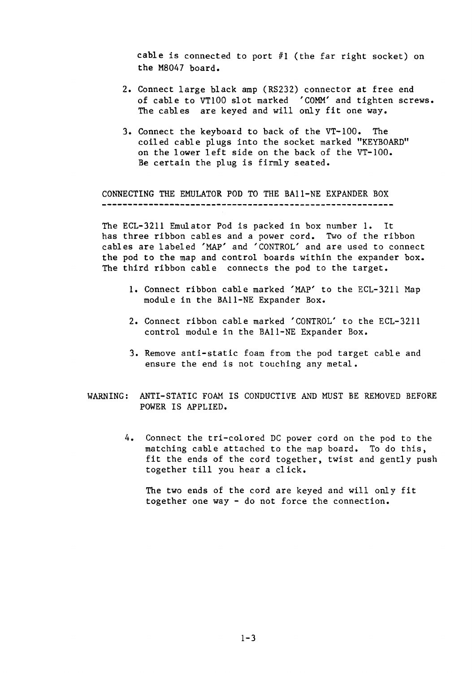cable is connected to port #1 (the far right socket) on the M8047 board.

- 2. Connect large black amp (RS232) connector at free end of cable to VT100 slot marked 'COMM' and tighten screws. The cables are keyed and will only fit one way.
- 3. Connect the keyboard to back of the VT-I00. The coiled cable plugs into the socket marked "KEYBOARD" on the lower left side on the back of the VT-I00. Be certain the plug is firmly seated.

CONNECTING THE EMULATOR POD TO THE BAII-NE EXPANDER BOX 

The ECL-3211 Emulator Pod is packed in box number 1. It has three ribbon cables and a power cord. Two of the ribbon cables are labeled 'MAP' and 'CONTROL' and are used to connect the pod to the map and control boards within the expander box. The third ribbon cable connects the pod to the target.

- 1. Connect ribbon cable marked 'MAP' to the ECL-3211 Map module in the BAII-NE Expander Box.
- 2. Connect ribbon cable marked 'CONTROL' to the ECL-3211 control module in the BAII-NE Expander Box.
- 3. Remove anti-static foam from the pod target cable and ensure the end is not touching any metal.
- WARNING: ANTI-STATIC FOAM IS CONDUCTIVE AND MUST BE REMOVED BEFORE POWER IS APPLIED.
	- 4. Connect the tri-colored DC power cord on the pod to the matching cable attached to the map board. To do this, fit the ends of the cord together, twist and gently push together till you hear a click.

The two ends of the cord are keyed and will only fit together one way - do not force the connection.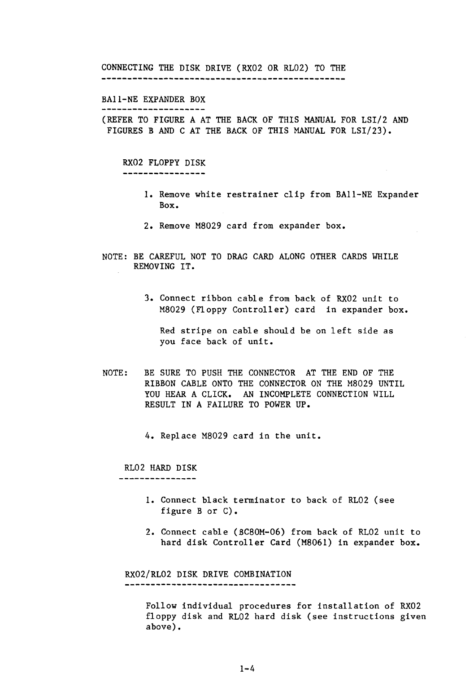CONNECTING THE DISK DRIVE (RX02 OR RL02) TO THE 

#### BAII-NE EXPANDER BOX

--------------------

(REFER TO FIGURE A AT THE BACK OF THIS MANUAL FOR LSI/2 AND FIGURES B AND C AT THE BACK OF THIS MANUAL FOR LSI/23).

#### RX02 FLOPPY DISK

----------------

- 1. Remove white restrainer clip from BAll-NE Expander Box.
- 2. Remove M8029 card from expander box.
- NOTE: BE CAREFUL NOT TO DRAG CARD ALONG OTHER CARDS WHILE REMOVING IT.
	- 3. Connect ribbon cable from back of RX02 unit to M8029 (Floppy Controller) card in expander box.

Red stripe on cable should be on left side as you face back of unit.

NOTE: BE SURE TO PUSH THE CONNECTOR AT THE END OF THE RIBBON CABLE ONTO THE CONNECTOR ON THE M8029 UNTIL YOU HEAR A CLICK. AN INCOMPLETE CONNECTION WILL RESULT IN A FAILURE TO POWER UP.

4. Replace M8029 card in the unit.

RL02 HARD DISK

----------------

- 1. Connect black terminator to back of RL02 (see figure B or C).
- 2. Connect cable *(BC80M-06)* from back of RL02 unit to hard disk Controller Card (M8061) in expander box.

RX02/RL02 DISK DRIVE COMBINATION -----------------------------------

> Follow individual procedures for installation of RX02 floppy disk and RL02 hard disk (see instructions given above).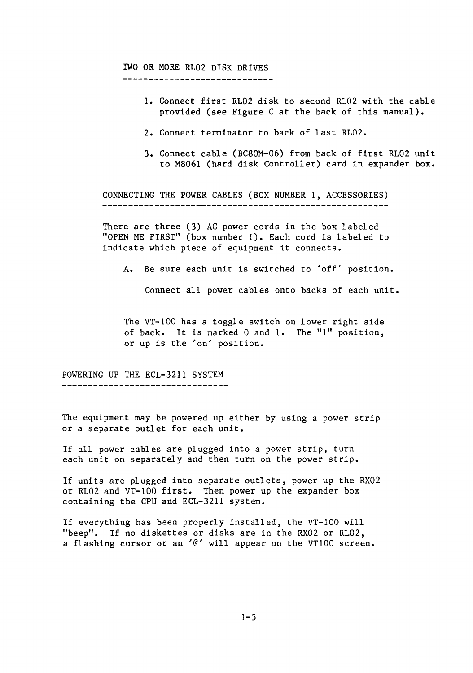# TWO OR MORE RL02 DISK DRIVES

-----------------------------

- 1. Connect first RL02 disk to second RL02 with the cable provided (see Figure C at the back of this manual).
- 2. Connect terminator to back of last RL02.
- 3. Connect cable (BC80M-06) from back of first RL02 unit to M8061 (hard disk Controller) card in expander box.

CONNECTING THE POWER CABLES (BOX NUMBER 1, ACCESSORIES) 

There are three (3) AC power cords in the box labeled "OPEN ME FIRST" (box number 1). Each cord is labeled to indicate which piece of equipment it connects.

A. Be sure each unit is switched to 'off' position.

Connect all power cables onto backs of each unit.

The VT-100 has a toggle switch on lower right side of back. It is marked 0 and 1. The "1" position, or up is the 'on' position.

POWERING UP THE ECL-3211 SYSTEM ---------------------------------

The equipment may be powered up either by using a power strip or a separate outlet for each unit.

If all power cables are plugged into a power strip, turn each unit on separately and then turn on the power strip.

If units are plugged into separate outlets, power up the RX02 or RL02 and VT-IOO first. Then power up the expander box containing the CPU and ECL-3211 system.

If everything has been properly installed, the VT-IOO will "beep". If no diskettes or disks are in the RX02 or RL02, a flashing cursor or an '@' will appear on the VT100 screen.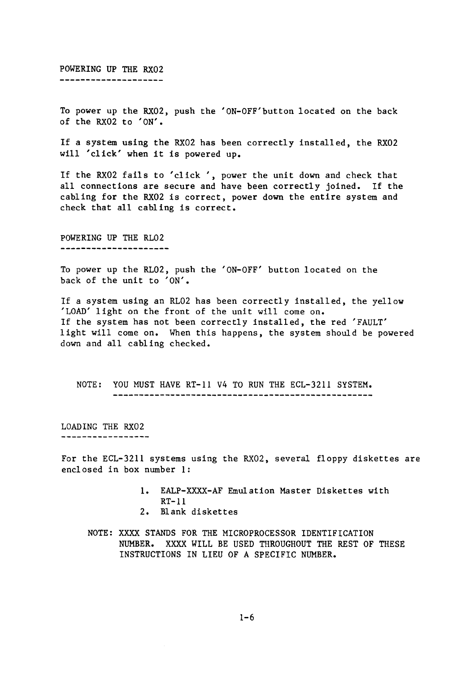POWERING UP THE RX02 ---------------------

To power up the RX02, push the 'ON-OFF'button located on the back of the RX02 to 'ON'.

If a system using the RX02 has been correctly installed, the RX02 will 'click' when it is powered up.

If the RX02 fails to 'click', power the unit down and check that all connections are secure and have been correctly joined. If the cabling for the RX02 is correct, power down the entire system and check that all cabling is correct.

POWERING UP THE RL02 ---------------------

To power up the RL02, push the 'ON-OFF' button located on the back of the unit to 'ON'.

If a system using an RL02 has been correctly installed, the yellow 'LOAD' light on the front of the unit will come on. If the system has not been correctly installed, the red 'FAULT' light will come on. When this happens, the system should be powered down and all cabling checked.

NOTE: YOU MUST HAVE RT-ll V4 TO RUN THE ECL-3211 SYSTEM. 

LOADING THE RX02 -----------------

For the ECL-3211 systems using the RX02, several floppy diskettes are enclosed in box number 1:

- 1. EALP-XXXX-AF Emulation Master Diskettes with  $RT-11$
- 2. Blank diskettes
- NOTE: XXXX STANDS FOR THE MICROPROCESSOR IDENTIFICATION NUMBER. XXXX WILL BE USED THROUGHOUT THE REST OF THESE INSTRUCTIONS IN LIEU OF A SPECIFIC NUMBER.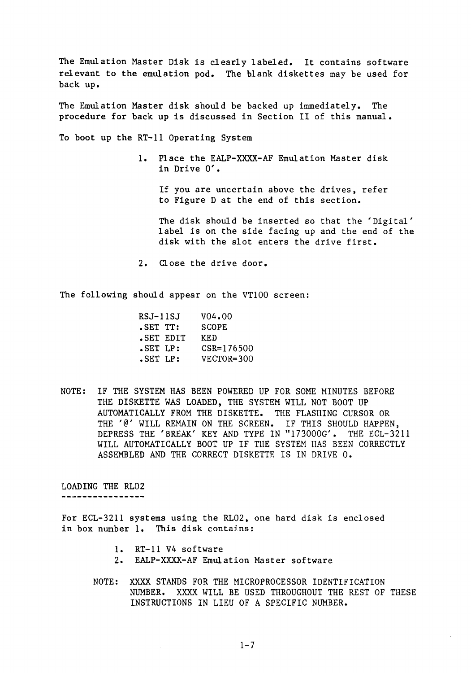The Emulation Master Disk is clearly labeled. It contains software relevant to the emulation pod. The blank diskettes may be used for back up.

The Emulation Master disk should be backed up immediately. The procedure for back up is discussed in Section II of this manual.

To boot up the RT-ll Operating System

1. Place the EALP-XXXX-AF Emulation Master disk in Drive 0'.

If you are uncertain above the drives, refer to Figure D at the end of this section.

The disk should be inserted so that the 'Digital' label is on the side facing up and the end of the disk with the slot enters the drive first.

2. Close the drive door.

The following should appear on the VT100 screen:

| RSJ-11SJ  | V <sub>04.00</sub> |
|-----------|--------------------|
| .SET TT:  | <b>SCOPE</b>       |
| SET EDIT. | KED                |
| SET LP:   | $CSR = 176500$     |
| SET LP:   | VECTOR=300         |
|           |                    |

NOTE: IF THE SYSTEM HAS BEEN POWERED UP FOR SOME MINUTES BEFORE THE DISKETTE WAS LOADED, THE SYSTEM WILL NOT BOOT UP AUTOMATICALLY FROM THE DISKETTE. THE FLASHING CURSOR OR THE '@' WILL REMAIN ON THE SCREEN. IF THIS SHOULD HAPPEN, DEPRESS THE 'BREAK' KEY AND TYPE IN "173000G'. THE ECL-3211 WILL AUTOMATICALLY BOOT UP IF THE SYSTEM HAS BEEN CORRECTLY ASSEMBLED AND THE CORRECT DISKETTE IS IN DRIVE O.

LOADING THE RL02

For ECL-3211 systems using the RL02, one hard disk is enclosed in box number 1. This disk contains:

- 1. RT-l1 V4 software
- 2. EALP-XXXX-AF Emulation Master software
- NOTE: XXXX STANDS FOR THE MICROPROCESSOR IDENTIFICATION NUMBER. XXXX WILL BE USED THROUGHOUT THE REST OF THESE INSTRUCTIONS IN LIEU OF A SPECIFIC NUMBER.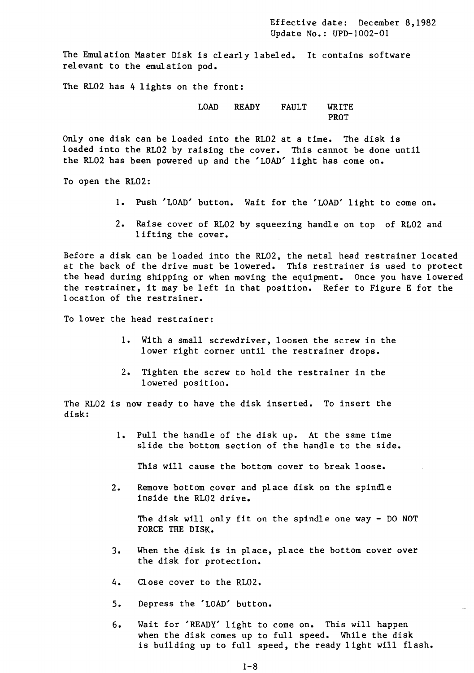Effective date: December 8,1982 Update No.: UPD-I002-01

The Emulation Master Disk is clearly labeled. It contains software relevant to the emulation pod.

The RL02 has 4 lights on the front:

LOAD READY FAULT WRITE PROT

Only one disk can be loaded into the RL02 at a time. The disk is loaded into the RL02 by raising the cover. This cannot be done until the RL02 has been powered up and the 'LOAD' light has come on.

To open the RL02:

- 1. Push 'LOAD' button. Wait for the 'LOAD' light to come on.
- 2. Raise cover of RL02 by squeezing handle on top of RL02 and lifting the cover.

Before a disk can be loaded into the RL02, the metal head restrainer located at the back of the drive must be lowered. This restrainer is used to protect the head during shipping or when moving the equipment. Once you have lowered the restrainer, it may be left in that position. Refer to Figure E for the location of the restrainer.

To lower the head restrainer:

- 1. With a small screwdriver, loosen the screw in the lower right corner until the restrainer drops.
- 2. Tighten the screw to hold the restrainer in the lowered position.

The RL02 is now ready to have the disk inserted. To insert the disk:

> 1. Pull the handle of the disk up. At the same time slide the bottom section of the handle to the side.

This will cause the bottom cover to break loose.

2. Remove bottom cover and place disk on the spindle inside the RL02 drive.

The disk will only fit on the spindle one way - DO NOT FORCE THE DISK.

- 3. When the disk is in place, place the bottom cover over the disk for protection.
- 4. Close cover to the RL02.
- 5. Depress the 'LOAD' button.
- 6. Wait for 'READY' light to come on. This will happen when the disk comes up to full speed. While the disk is building up to full speed, the ready light will flash.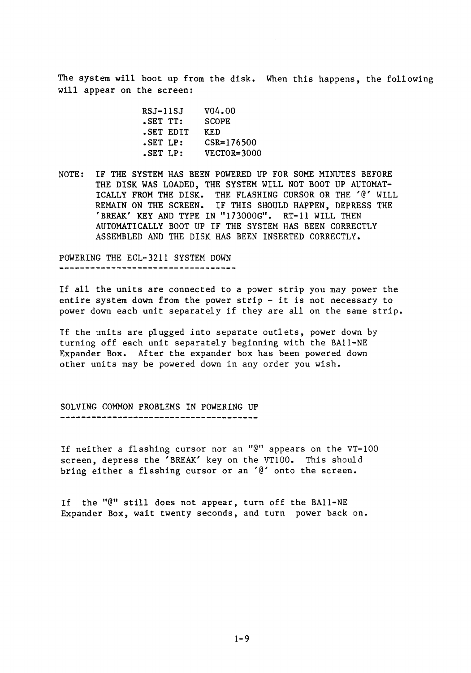The system will boot up from the disk. When this happens, the following will appear on the screen:

| RSJ-11SJ  | v04.00         |
|-----------|----------------|
| SET TT:   | <b>SCOPE</b>   |
| SET EDIT. | KED            |
| SET LP:   | $CSR = 176500$ |
| .SET LP:  | VECTOR=3000    |

NOTE: IF THE SYSTEM HAS BEEN POWERED UP FOR SOME MINUTES BEFORE THE DISK WAS LOADED, THE SYSTEM WILL NOT BOOT UP AUTOMAT-ICALLY FROM THE DISK. THE FLASHING CURSOR OR THE '@' WILL REMAIN ON THE SCREEN. IF THIS SHOULD HAPPEN, DEPRESS THE 'BREAK' KEY AND TYPE IN "173000G". RT-11 WILL THEN AUTOMATICALLY BOOT UP IF THE SYSTEM HAS BEEN CORRECTLY ASSEMBLED AND THE DISK HAS BEEN INSERTED CORRECTLY.

POWERING THE ECL-3211 SYSTEM DOWN ----------------------------------

If all the units are connected to a power strip you may power the entire system down from the power strip - it is not necessary to power down each unit separately if they are all on the same strip.

If the units are plugged into separate outlets, power down by turning off each unit separately beginning with the BA11-NE Expander Box. After the expander box has been powered down other units may be powered down in any order you wish.

SOLVING COMMON PROBLEMS IN POWERING UP 

If neither a flashing cursor nor an "@" appears on the VT-IOO screen, depress the 'BREAK' key on the VT100. This should bring either a flashing cursor or an '@' onto the screen.

If the "@" still does not appear, turn off the BAII-NE Expander Box, wait twenty seconds, and turn power back on.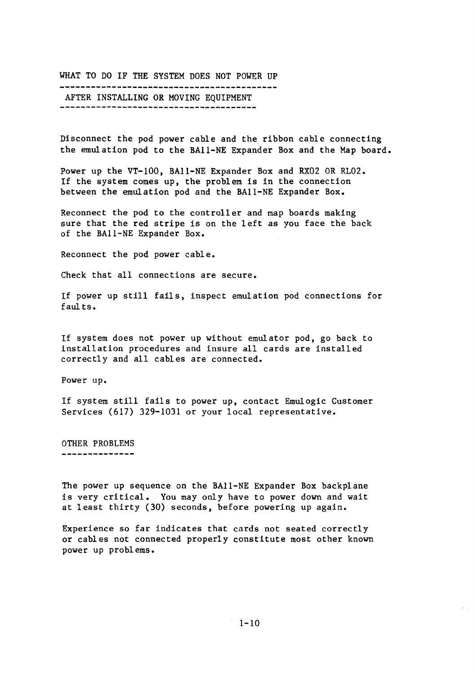WHAT TO DO IF THE SYSTEM DOES NOT POWER UP AFTER INSTALLING OR MOVING EQUIPMENT 

Disconnect the pod power cable and the ribbon cable connecting the emulation pod to the BAll-NE Expander Box and the Map board.

Power up the VT-lOO, BAll-NE Expander Box and RX02 OR RL02. If the system comes up, the problem is in the connection between the emulation pod and the BAll-NE Expander Box.

Reconnect the pod to the controller and map boards making sure that the red stripe is on the left as you face the back of the BAll-NE Expander Box.

Reconnect the pod power cable.

Check that all connections are secure.

If power up still fails, inspect emulation pod connections for faults.

If system does not power up without emulator pod, go back to installation procedures and insure all cards are installed correctly and all cables are connected.

Power up.

If system still fails to power up, contact Emulogic Customer Services (617) 329-1031 or your local representative.

OTHER PROBLEMS --------------

The power up sequence on the BA11-NE Expander Box backplane is very critical. You may only have to power down and wait at least thirty (30) seconds, before powering up again.

Experience so far indicates that cards not seated correctly or cables not connected properly constitute most other known power up problems.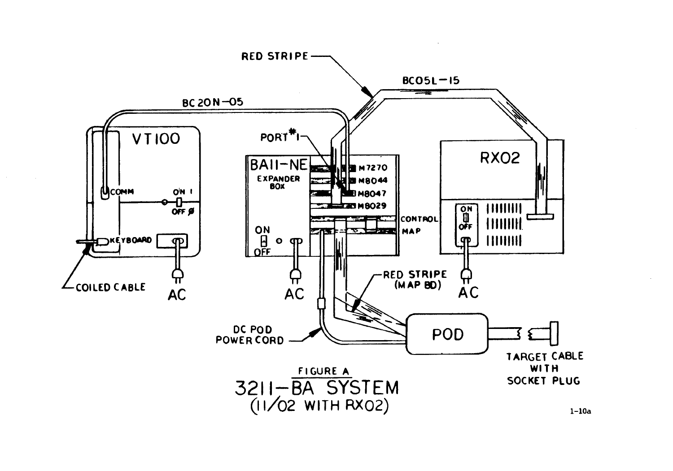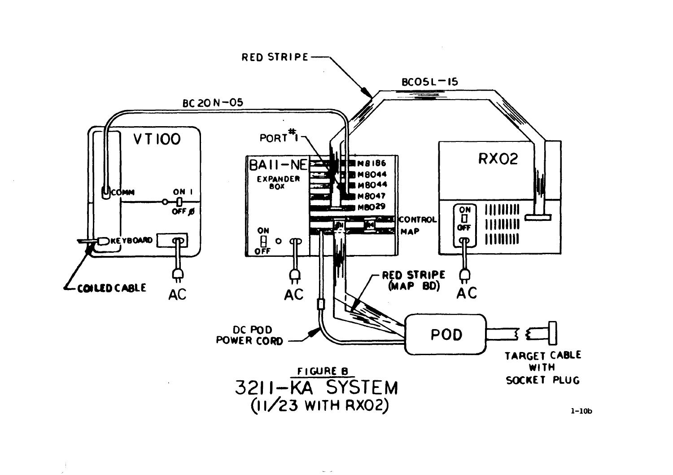

÷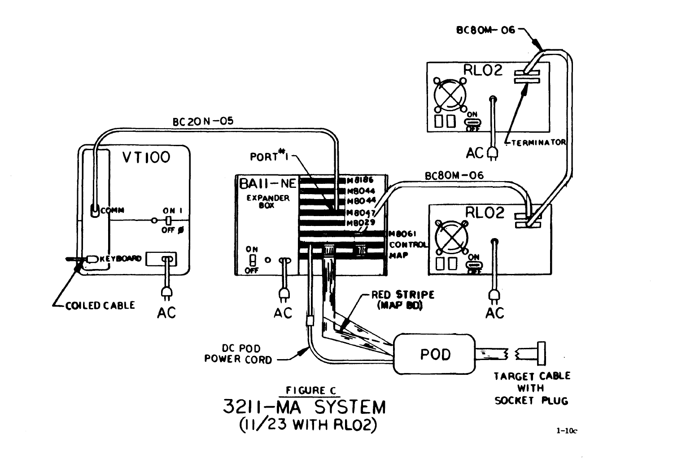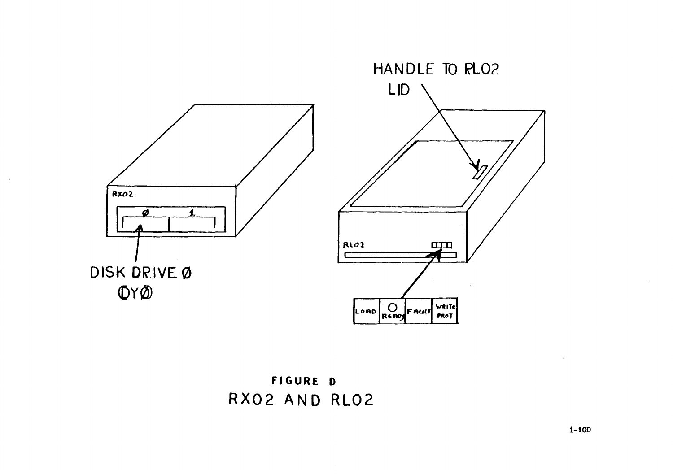

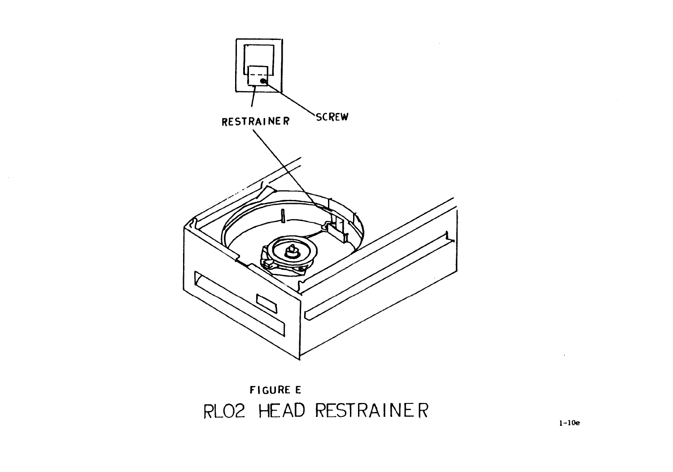

 $\sim$   $\sim$ 

# FIGURE E<br>RLO2 HEAD RESTRAINER FIGURE E ic<br>|-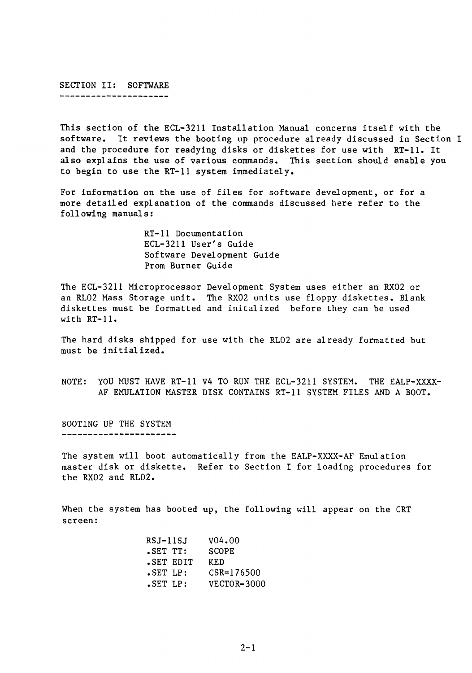# SECTION II: SOFTWARE

----------------------

This section of the ECL-3211 Installation Manual concerns itself with the software. It reviews the booting up procedure already discussed in Section I and the procedure for readying disks or diskettes for use with RT-11. It also explains the use of various commands. This section should enable you to begin to use the RT-11 system immediately.

For information on the use of files for software development, or for a more detailed explanation of the commands discussed here refer to the following manuals:

> RT-11 Documentation ECL-3211 User's Guide Software Development Guide Prom Burner Guide

The ECL-3211 Microprocessor Development System uses either an RX02 or an RL02 Mass Storage unit. The RX02 units use floppy diskettes. Blank diskettes must be formatted and initalized before they can be used with RT-11.

The hard disks shipped for use with the RL02 are already formatted but must be initialized.

NOTE: YOU MUST HAVE RT-11 V4 TO RUN THE ECL-3211 SYSTEM. THE EALP-XXXX-AF EMULATION MASTER DISK CONTAINS RT-11 SYSTEM FILES AND A BOOT.

BOOTING UP THE SYSTEM ----------------------

The system will boot automatically from the EALP-XXXX-AF Emulation master disk or diskette. Refer to Section I for loading procedures for the RX02 and RL02.

When the system has booted up, the following will appear on the CRT screen:

| RSJ-11SJ  | V04.00       |
|-----------|--------------|
| SET TT:   | <b>SCOPE</b> |
| SET EDIT. | KED          |
| SET LP:   | CSR=176500   |
| SET LP:   | VECTOR=3000  |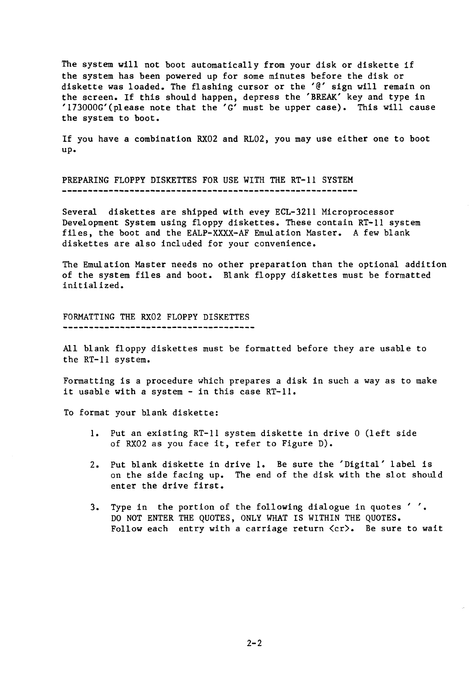The system will not boot automatically from your disk or diskette if the system has been powered up for some minutes before the disk or diskette was loaded. The flashing cursor or the '@' sign will remain on the screen. If this should happen, depress the 'BREAK' key and type in '173000G'(please note that the 'G' must be upper case). This will cause the system to boot.

If you have a combination RX02 and RL02, you may use either one to boot up.

PREPARING FLOPPY DISKETTES FOR USE WITH THE RT-ll SYSTEM 

Several diskettes are shipped with evey ECL-3211 Microprocessor Development System using floppy diskettes. These contain RT-ll system files, the boot and the EALP-XXXX-AF Emulation Master. A few blank diskettes are also included for your convenience.

The Emulation Master needs no other preparation than the optional addition of the system files and boot. Blank floppy diskettes must be formatted initialized.

FORMATTING THE RX02 FLOPPY DISKETTES 

All blank floppy diskettes must be formatted before they are usable to the RT-ll system.

Formatting is a procedure which prepares a disk in such a way as to make it usable with a system - in this case RT-ll.

To format your blank diskette:

- 1. Put an existing RT-ll system diskette in drive 0 (left side of RX02 as you face it, refer to Figure D).
- 2. Put blank diskette in drive 1. Be sure the 'Digital' label is on the side facing up. The end of the disk with the slot should enter the drive first.
- 3. Type in the portion of the following dialogue in quotes ' , DO NOT ENTER THE QUOTES, ONLY WHAT IS WITHIN THE QUOTES. Follow each entry with a carriage return  $\langle cr \rangle$ . Be sure to wait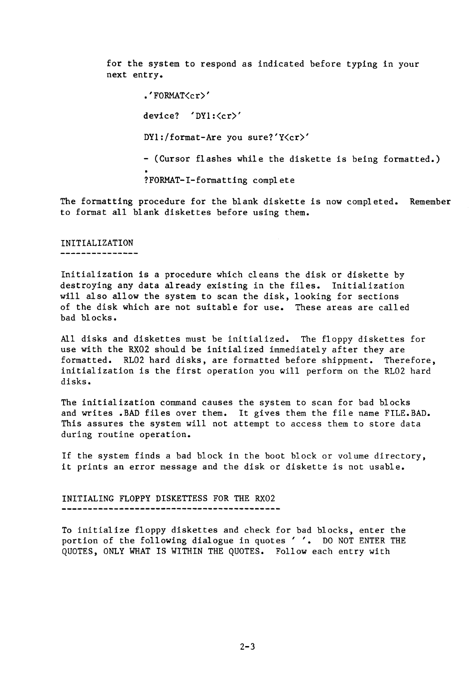for the system to respond as indicated before typing in your next entry.

> • 'FORMAT<cr)' device? 'DYl: < cr>' DYl:/format-Are you sure?'Y<cr)' - (Cursor flashes while the diskette is being formatted.) ?FORMAT-I-formatting complete

The formatting procedure for the blank diskette is now completed. Remember to format all blank diskettes before using them.

# INITIALIZATION

---------------

Initialization is a procedure which cleans the disk or diskette by destroying any data already existing in the files. Initialization will also allow the system to scan the disk, looking for sections of the disk which are not suitable for use. These areas are called bad blocks.

All disks and diskettes must be initialized. The floppy diskettes for use with the RX02 should be initialized immediately after they are formatted. RL02 hard disks, are formatted before shippment. Therefore, initialization is the first operation you will perform on the RL02 hard disks.

The initialization command causes the system to scan for bad blocks and writes .BAD files over them. It gives them the file name FILE. BAD. This assures the system will not attempt to access them to store data during routine operation.

If the system finds a bad block in the boot block or volume directory, it prints an error message and the disk or diskette is not usable.

INITIALING FLOPPY DISKETTESS FOR THE RX02 

To initialize floppy diskettes and check for bad blocks, enter the portion of the following dialogue in quotes' **'.** DO NOT ENTER THE QUOTES, ONLY WHAT IS WITHIN THE QUOTES. Follow each entry with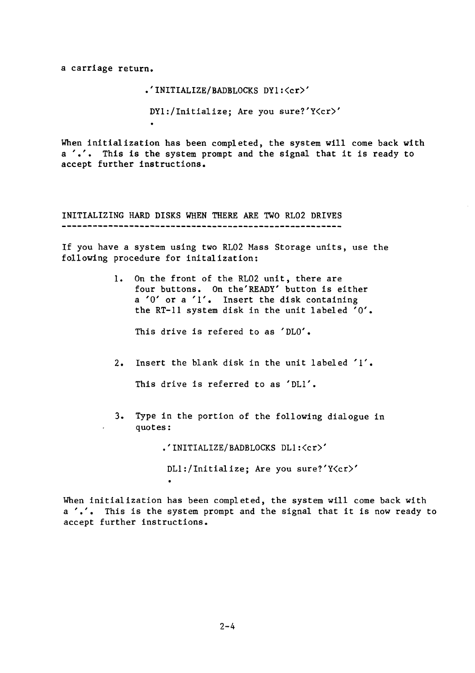a carriage return.

• 'INITIALIZE/BADBLOCKS DY1:<cr)'

DY1:/Initializej Are you sure?'Y<cr)'

When initialization has been completed, the system will come back with a '.'. This is the system prompt and the signal that it is ready to accept further instructions.

INITIALIZING HARD DISKS WHEN THERE ARE TWO RL02 DRIVES

If you have a system using two RL02 Mass Storage units, use the following procedure for initalization:

> 1. On the front of the RL02 unit, there are four buttons. On the' READY' button is either a '0' or a '1'. Insert the disk containing the RT-11 system disk in the unit labeled '0'.

This drive is refered to as 'DLO'.

2. Insert the blank disk in the unit labeled '1'.

This drive is referred to as 'DL1'.

3. Type in the portion of the following dialogue in quotes:

.'INITIALIZE/BADBLOCKS DL1:<cr)'

DL1:/Initializej Are you sure?'Y<cr)'

When initialization has been completed, the system will come back with a '.'. This is the system prompt and the signal that it is now ready to accept further instructions.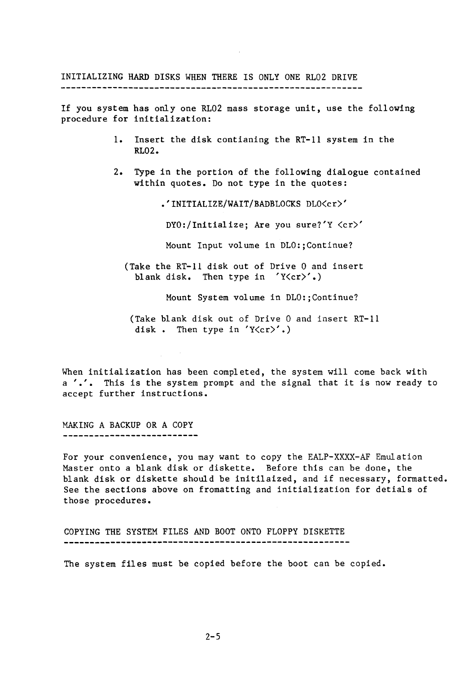INITIALIZING HARD DISKS WHEN THERE IS ONLY ONE RL02 DRIVE 

If you system has only one RL02 mass storage unit, use the following procedure for initialization:

- 1. Insert the disk contianing the RT-l1 system in the RL02.
- 2. Type in the portion of the following dialogue contained within quotes. Do not type in the quotes:

.'INITIALIZE/WAIT/BADBLOCKS DLO<cr)'

DYO:/Initialize; Are you sure?'Y <cr)'

Mount Input volume in DLO:;Continue?

(Take the RT-l1 disk out of Drive 0 and insert blank disk. Then type in  $Y\langle cr \rangle'$ .)

Mount System volume in DLO:;Continue?

(Take blank disk out of Drive 0 and insert RT-ll disk. Then type in  $Y\langle cr \rangle'$ .)

When initialization has been completed, the system will come back with <sup>a</sup>**'.'.** This is the system prompt and the signal that it is now ready to accept further instructions.

MAKING A BACKUP OR A COPY ...........................

For your convenience, you may want to copy the EALP-XXXX-AF Emulation Master onto a blank disk or diskette. Before this can be done, the blank disk or diskette should be initilaized, and if necessary, formatted. See the sections above on fromatting and initialization for detials of those procedures.

COPYING THE SYSTEM FILES AND BOOT ONTO FLOPPY DISKETTE 

The system files must be copied before the boot can be copied.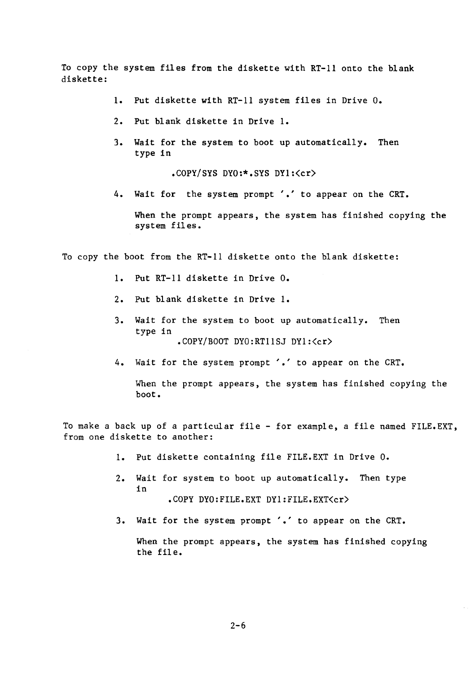To copy the system files from the diskette with RT-11 onto the blank diskette:

- 1. Put diskette with RT-11 system files in Drive O.
- 2. Put blank diskette in Drive 1.
- 3. Wait for the system to boot up automatically. Then type in

.COPY/SYS DYO:\*.SYS DY1:(cr)

4. Wait for the system prompt '.' to appear on the CRT.

When the prompt appears, the system has finished copying the system files.

To copy the boot from the RT-11 diskette onto the blank diskette:

- 1. Put RT-11 diskette in Drive O.
- 2. Put blank diskette in Drive 1.
- 3. Wait for the system to boot up automatically. Then type in .COPY/BOOT DYO:RT11SJ DY1:<cr)
- 4. Wait for the system prompt '.' to appear on the CRT.

When the prompt appears, the system has finished copying the boot.

To make a back up of a particular file - for example, a file named FILE.EXT, from one diskette to another:

- 1. Put diskette containing file FILE. EXT in Drive O.
- 2. Wait for system to boot up automatically. Then type in .COPY DYO:FILE.EXT DY1:FILE.EXT<cr>
- 3. Wait for the system prompt'.' to appear on the CRT.

When the prompt appears, the system has finished copying the file.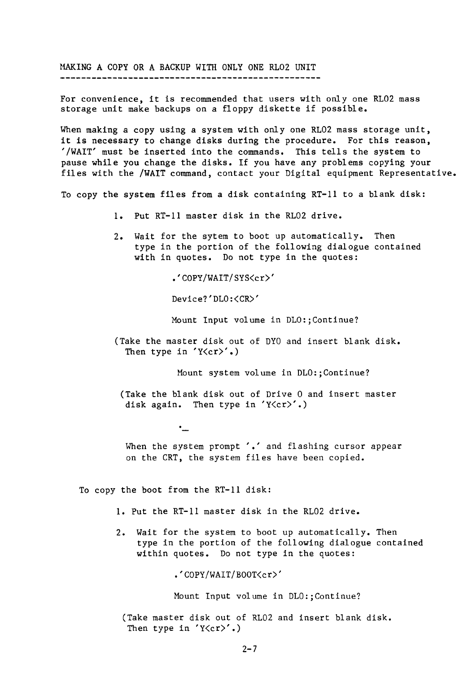MAKING A COPY OR A BACKUP WITH ONLY ONE RLO2 UNIT

For convenience, it is recommended that users with only one RL02 mass storage unit make backups on a floppy diskette if possible.

When making a copy using a system with only one RL02 mass storage unit, it is necessary to change disks during the procedure. For this reason, '/WAIT' must be inserted into the commands. This tells the system to pause while you change the disks. If you have any problems copying your files with the /WAIT command, contact your Digital equipment Representative.

To copy the system files from a disk containing RT-ll to a blank disk:

- 1. Put RT-II master disk in the RL02 drive.
- 2. Wait for the sytem to boot up automatically. Then type in the portion of the following dialogue contained with in quotes. Do not type in the quotes:

.'COPY/WAIT/SYS<cr)'

Device?'DLO:<CR)'

Mount Input volume in DLO:;Continue?

(Take the master disk out of DYO and insert blank disk. Then type in  $Y(\c{c}r)'$ .)

Mount system volume in DLO:;Continue?

(Take the blank disk out of Drive 0 and insert master disk again. Then type in 'Y $\langle cr \rangle'.$ )

 $\cdot$ 

When the system prompt '.' and flashing cursor appear on the CRT, the system files have been copied.

To copy the boot from the RT-II disk:

- 1. Put the RT-Il master disk in the RL02 drive.
- 2. Wait for the system to boot up automatically. Then type in the portion of the following dialogue contained within quotes. Do not type in the quotes:

.'COPY/WAIT/BOOT<cr)'

Mount Input volume in DLO:;Continue?

(Take master disk out of RL02 and insert blank disk. Then type in  $Y\langle cr \rangle'$ .)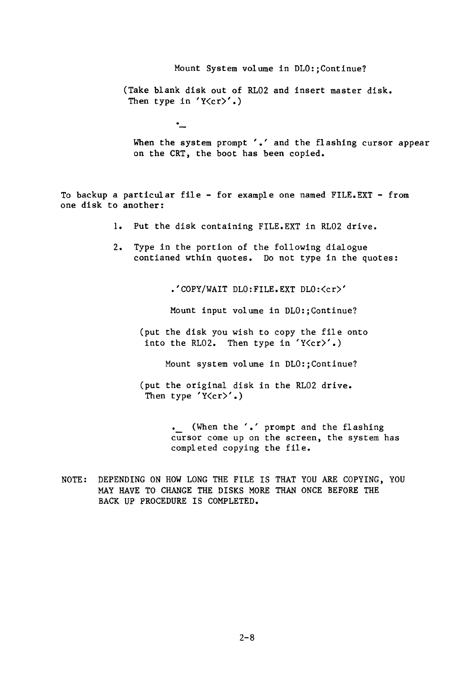Mount System volume in DLO:;Continue? (Take blank disk out of RL02 and insert master disk. Then type in  $Y\langle cr \rangle'$ .)

When the system prompt '.' and the flashing cursor appear on the CRT, the boot has been copied.

To backup a particular file - for example one named FILE. EXT - from one disk to another:

٠\_

- 1. Put the disk containing FILE. EXT in RL02 drive.
- 2. Type in the portion of the following dialogue contianed wthin quotes. Do not type in the quotes:

.'COPY/WAIT DLO:FILE.EXT DLO:<cr)'

Mount input volume in DLO:;Continue?

(put the disk you wish to copy the file onto into the RL02. Then type in  $Y(\ncr)$ .

Mount system volume in DLO:;Continue?

(put the original disk in the RL02 drive. Then type  $Y\langle cr \rangle'$ .)

> (When the'.' prompt and the flashing cursor come up on the screen, the system has completed copying the file.

NOTE: DEPENDING ON HOW LONG THE FILE IS THAT YOU ARE COPYING, YOU MAY HAVE TO CHANGE THE DISKS MORE THAN ONCE BEFORE THE BACK UP PROCEDURE IS COMPLETED.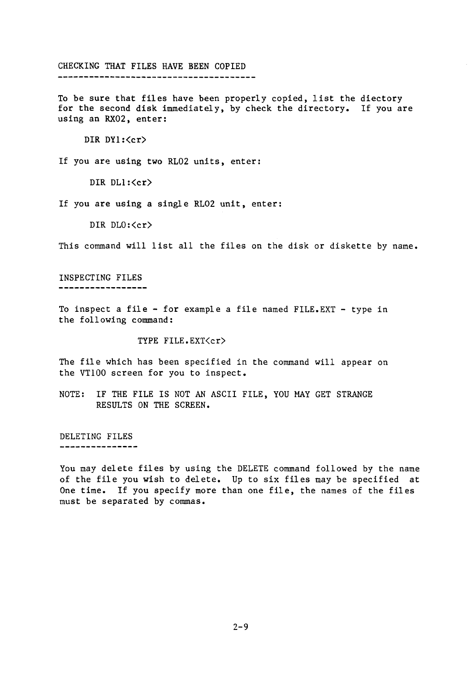### CHECKING THAT FILES HAVE BEEN COPIED

To be sure that files have been properly copied, list the diectory for the second disk immediately, by check the directory. If you are using an RX02, enter:

DIR DY1: <cr>

If you are using two RL02 units, enter:

DIR DL1:<cr>

If you are using a single RL02 unit, enter:

DIR DLO:<cr>

This command will list all the files on the disk or diskette by name.

INSPECTING FILES -----------------

To inspect a file - for example a file named FILE.EXT - type in the following command:

TYPE FILE.EXT<cr>

The file which has been specified in the command will appear on the VT100 screen for you to inspect.

NOTE: IF THE FILE IS NOT AN ASCII FILE, YOU MAY GET STRANGE RESULTS ON THE SCREEN.

DELETING FILES

---------------

You may delete files by using the DELETE command followed by the name of the file you wish to delete. Up to six files may be specified at One time. If you specify more than one file, the names of the files must be separated by commas.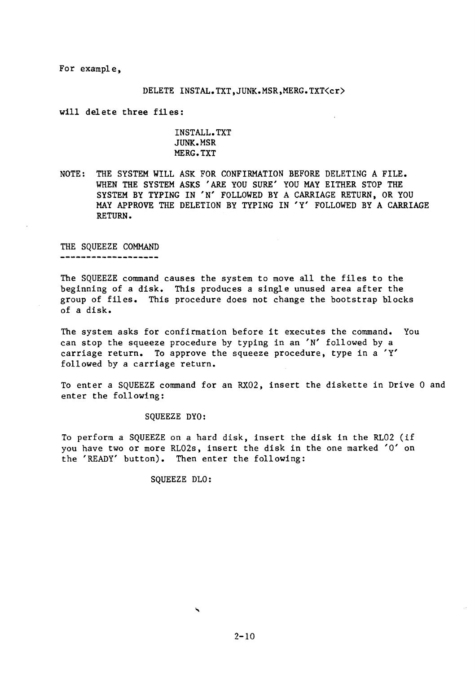For example,

#### DELETE INSTAL.TXT, JUNK.MSR, MERG.TXT<cr>

will delete three files:

# INSTALL. TXT JUNK.MSR MERG.TXT

NOTE: THE SYSTEM WILL ASK FOR CONFIRMATION BEFORE DELETING A FILE. WHEN THE SYSTEM ASKS 'ARE YOU SURE' YOU MAY EITHER STOP THE SYSTEM BY TYPING IN 'N' FOLLOWED BY A CARRIAGE RETURN, OR YOU MAY APPROVE THE DELETION BY TYPING IN 'Y' FOLLOWED BY A CARRIAGE RETURN.

THE SQUEEZE COMMAND

\_\_\_\_\_\_\_\_\_\_\_\_\_\_\_\_\_\_\_\_

The SQUEEZE command causes the system to move all the files to the beginning of a disk. This produces a single unused area after the group of files. This procedure does not change the bootstrap blocks of a disk.

The system asks for confirmation before it executes the command. You can stop the squeeze procedure by typing in an 'N' followed by a carriage return. To approve the squeeze procedure, type in a 'Y' followed by a carriage return.

To enter a SQUEEZE command for an RX02, insert the diskette in Drive 0 and enter the following:

SQUEEZE DYO:

To perform a SQUEEZE on a hard disk, insert the disk in the RL02 (if you have two or more RL02s, insert the disk in the one marked '0' on the 'READY' button). Then enter the following:

SQUEEZE DLO:

 $2 - 10$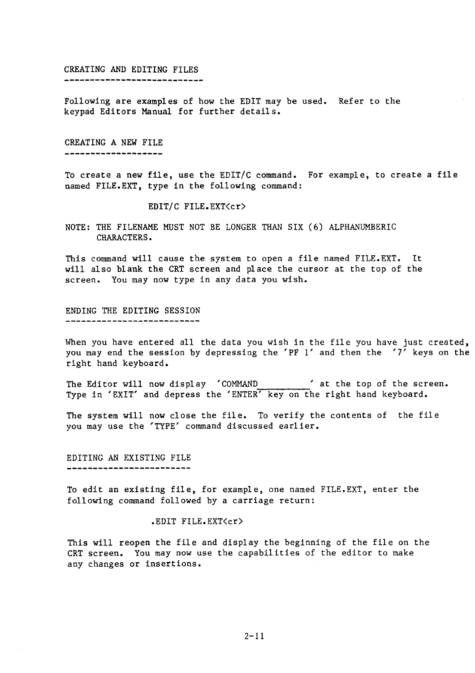#### CREATING AND EDITING FILES -----------------------------

Following are examples of how the EDIT may be used. Refer to the keypad Editors Manual for further details.

# CREATING A NEW FILE

\_\_\_\_\_\_\_\_\_\_\_\_\_\_\_\_\_\_\_\_

To create a new file, use the EDIT/C command. For example, to create a file named FILE.EXT, type in the following command:

EDIT/C FILE.EXT<cr>

NOTE: THE FILENAME MUST NOT BE LONGER THAN SIX (6) ALPHANUMBERIC CHARACTERS.

This command will cause the system to open a file named FILE. EXT. It will also blank the CRT screen and place the cursor at the top of the screen. You may now type in any data you wish.

ENDING THE EDITING SESSION ---------------------------

When you have entered all the data you wish in the file you have just created, you may end the session by depressing the 'PF l' and then the '7' keys on the right hand keyboard.

The Editor will now display 'COMMAND ' at the top of the screen. Type in 'EXIT' and depress the 'ENTER' key on the right hand keyboard.

The system will now close the file. To verify the contents of the file you may use the 'TYPE' command discussed earlier.

#### EDITING AN EXISTING FILE \_\_\_\_\_\_\_\_\_\_\_\_\_\_\_\_\_\_\_\_\_\_\_\_\_\_

To edit an existing file, for example, one named FILE.EXT, enter the following command followed by a carriage return:

.EDIT FILE.EXT<cr>

This will reopen the file and display the beginning of the file on the CRT screen. You may now use the capabilities of the editor to make any changes or insertions.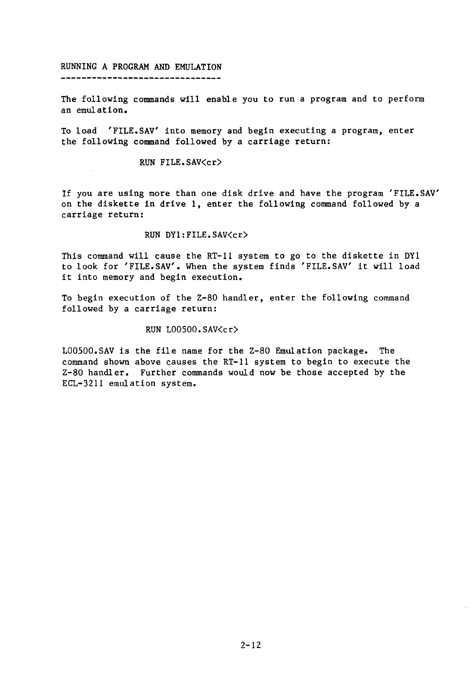# RUNNING A PROGRAM AND EMULATION

--------------------------------

The following commands will enable you to run a program and to perform an emulation.

To load 'FILE.SAV' into memory and begin executing a program, enter the following command followed by a carriage return:

# RUN FILE.SAV<cr)

If you are using more than one disk drive and have the program 'FILE.SAV' on the diskette in drive 1, enter the following command followed by a carriage return:

## RUN DYl:FILE.SAV<cr)

This command will cause the RT-11 system to go to the diskette in DY1 to look for 'FILE.SAV'. When the system finds 'FILE.SAV' it will load it into memory and begin execution.

To begin execution of the Z-80 handler, enter the following command followed by a carriage return:

### RUN LOOSOO.SAV<cr)

L00500.SAV is the file name for the Z-80 Emulation package. The command shown above causes the RT-11 system to begin to execute the Z-80 handler. Further commands would now be those accepted by the ECL-3211 emulation system.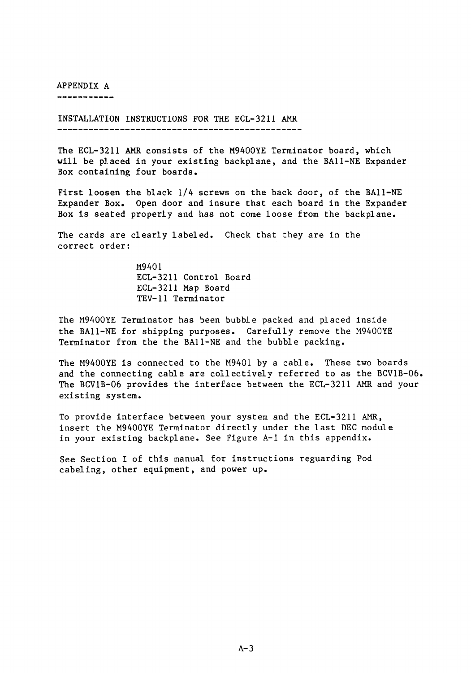APPENDIX A

-----------

INSTALLATION INSTRUCTIONS FOR THE ECL-3211 AMR 

The ECL-3211 AMR consists of the M9400YE Terminator board, which will be placed in your existing backplane, and the BAII-NE Expander Box containing four boards.

First loosen the black 1/4 screws on the back door, of the BAll-NE Expander Box. Open door and insure that each board in the Expander Box is seated properly and has not come loose from the backplane.

The cards are clearly labeled. Check that they are in the correct order:

> M9401 ECL-3211 Control Board ECL-3211 Map Board TEV-ll Terminator

The M9400YE Terminator has been bubble packed and placed inside the BAII-NE for shipping purposes. Carefully remove the M9400YE Terminator from the the BAII-NE and the bubble packing.

The M9400YE is connected to the M9401 by a cable. These two boards and the connecting cable are collectively referred to as the BCVIB-06. The BCVIB-06 provides the interface between the ECL-3211 AMR and your existing system.

To provide interface between your system and the ECL-3211 AMR, insert the M9400YE Terminator directly under the last DEC module in your existing backplane. See Figure A-I in this appendix.

See Section I of this manual for instructions reguarding Pod cabeling, other equipment, and power up.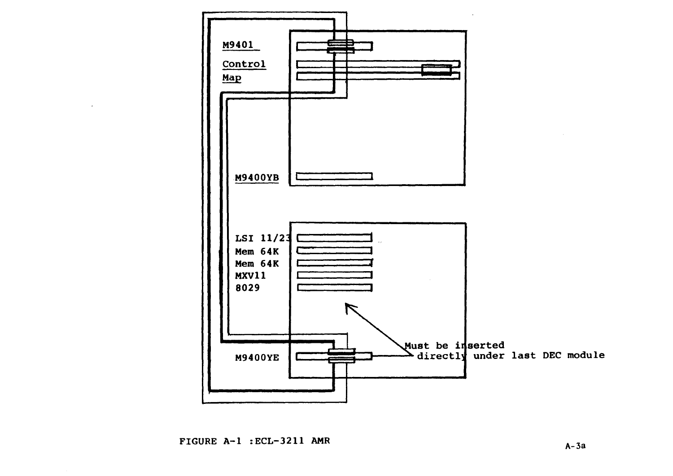

FIGURE  $A-1$  : ECL-3211 AMR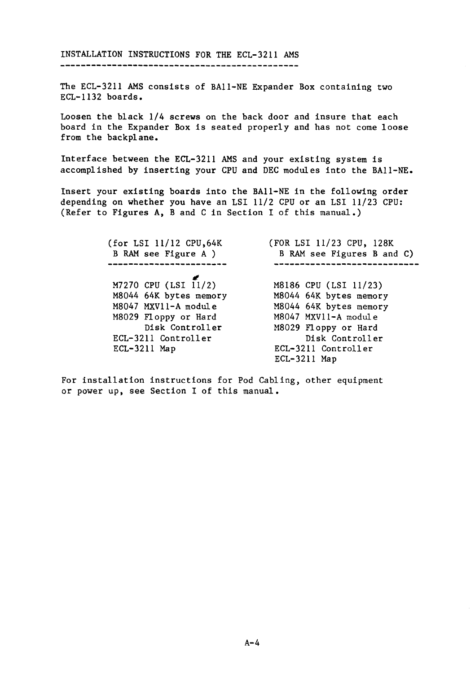INSTALLATION INSTRUCTIONS FOR THE ECL-3211 AMS 

The ECL-3211 AMS consists of BA11-NE Expander Box containing two ECL-1132 boards.

Loosen the black 1/4 screws on the back door and insure that each board in the Expander Box is seated properly and has not come loose from the backplane.

Interface between the ECL-3211 AMS and your existing system is accomplished by inserting your CPU and DEC modules into the BA11-NE.

Insert your existing boards into the BA11-NE in the following order depending on whether you have an LSI 11/2 CPU or an LSI 11/23 CPU: (Refer to Figures A, Band C in Section I of this manual.)

> (for LSI 11/12 CPU,64K (FOR LSI 11/23 CPU, 128K B RAM see Figure A ) B RAM see Figures B and C) ----------------------------M7270 CPU (LSI 11/2) M8186 CPU (LSI 11/23)<br>M8044 64K bytes memory M8044 64K bytes memory M8044 64K bytes memory M8044 64K bytes memory M8047 MXVll-A module M8029 Floppy or Hard M8047 MXVll-A modul e Disk Controller M8029 Floppy or Hard ECL-3211 Controller Disk Controll er ECL-3211 Map ECL-3211 Controller ECL-3211 Map

For installation instructions for Pod Cabling, other equipment or power up, see Section I of this manual.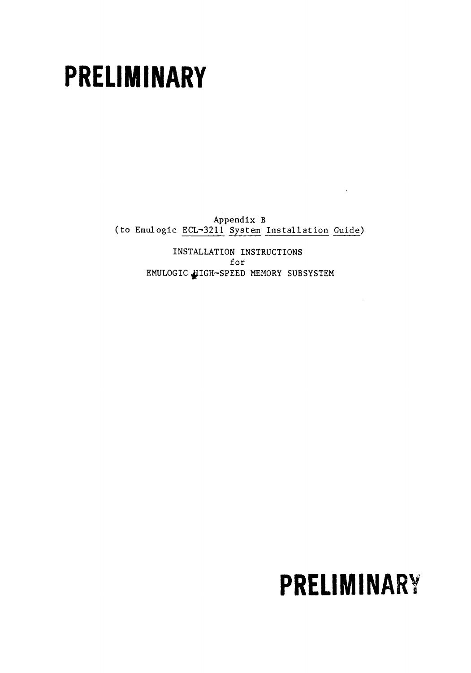# **PRELIMINARY**

Appendix B (to Emulogic ECL-3211 System Installation Guide)

> INSTALLATION INSTRUCTIONS for EMULOGIC HIGH-SPEED MEMORY SUBSYSTEM

# **PRELIMINARY**

 $\bar{a}$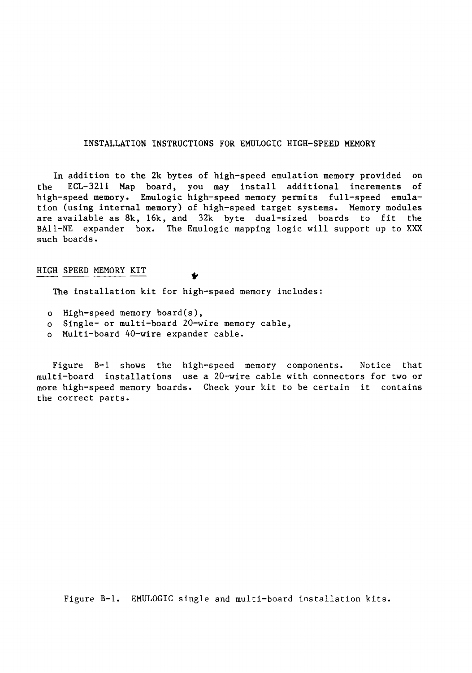# INSTALLATION INSTRUCTIONS FOR EMULOGIC HIGH-SPEED MEMORY

In addition to the 2k bytes of high-speed emulation memory provided on the ECL-3211 Map board, you may install additional increments of high-speed memory. Emulogic high-speed memory permits full-speed emulation (using internal memory) of high-speed target systems. Memory modules are available as  $8k$ ,  $16k$ , and  $32k$  byte dual-sized boards to fit the BA11-NE expander box. The Emulogic mapping logic will support up to XXX such boards.

# HIGH SPEED MEMORY KIT

The installation kit for high-speed memory includes:

- o High-speed memory board(s),
- o Single- or multi-board 20-wire memory cable,
- o Multi-board 40-wire expander cable.

Figure B-1 shows the high-speed memory components. Notice that multi-board installations use a 20-wire cable with connectors for two or more high-speed memory boards. Check your kit to be certain it contains the correct parts.

Figure B-1. EMULOGIC single and multi-board installation kits.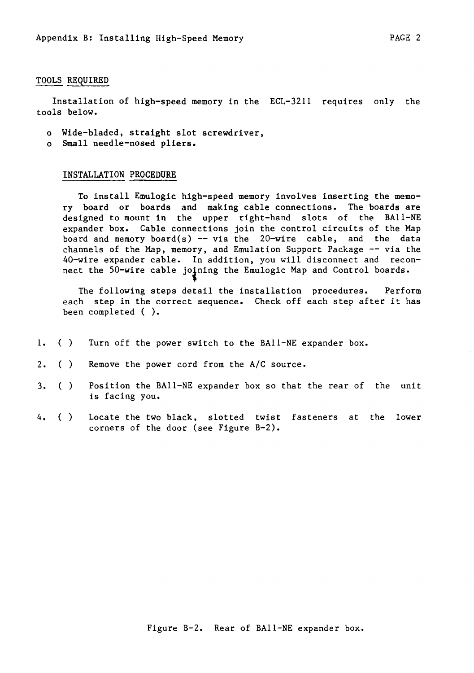### TOOLS REQUIRED

Installation of high-speed memory in the ECL-3211 requires only the tools below.

- o Wide-bladed, straight slot screwdriver,
- o Small needle-nosed pliers.

### INSTALLATION PROCEDURE

To install Emulogic high-speed memory involves inserting the memory board or boards and making cable connections. The boards are designed to mount in the upper right-hand slots of the BAII-NE expander box. Cable connections join the control circuits of the Map board and memory board(s)  $-$  via the 20-wire cable, and the data channels of the Map, memory, and Emulation Support Package  $-$  via the 40-wire expander cable. In addition, you will disconnect and reconnect the 50-wire cable joining the Emulogic Map and Control boards.

The following steps detail the installation procedures. Perform each step in the correct sequence. Check off each step after it has been completed ( ).

- 1. () Turn off the power switch to the BAII-NE expander box.
- 2. () Remove the power cord from the *AIC* source.
- 3. () Position the BAII-NE expander box so that the rear of the unit is facing you.
- 4. () Locate the two black, slotted twist fasteners at the lower corners of the door (see Figure B-2).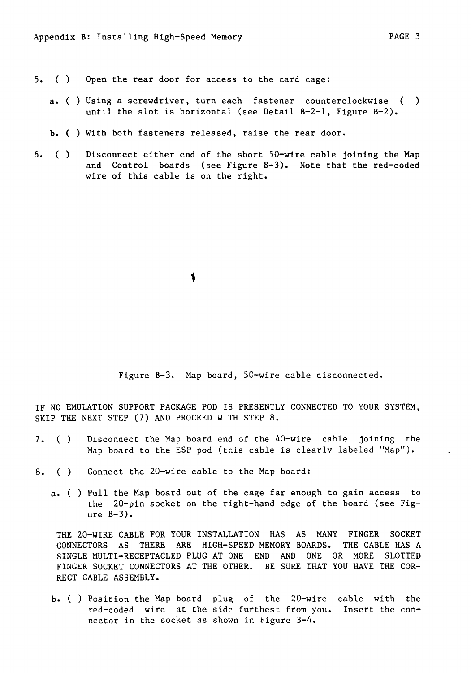- 5. () Open the rear door for access to the card cage:
	- a. ( ) Using a screwdriver, turn each fastener counterclockwise ( ) until the slot is horizontal (see Detail B-2-1, Figure B-2).
	- b. ( ) With both fasteners released, raise the rear door.
- 6. () Disconnect either end of the short SO-wire cable joining the Map and Control boards (see Figure B-3). Note that the red-coded wire of this cable is on the right.

Figure B-3. Map board, SO-wire cable disconnected.

IF NO EMULATION SUPPORT PACKAGE POD IS PRESENTLY CONNECTED TO YOUR SYSTEM, SKIP THE NEXT STEP (7) AND PROCEED WITH STEP 8.

- 7. () Disconnect the Map board end of the 40-wire cable joining the Map board to the ESP pod (this cable is clearly labeled "Map").
- 8. () Connect the 20-wire cable to the Map board:
	- a. ( ) Pull the Map board out of the cage far enough to gain access to the 20-pin socket on the right-hand edge of the board (see Fig $ure B-3)$ .

THE 20-WIRE CABLE FOR YOUR INSTALLATION HAS AS MANY FINGER SOCKET CONNECTORS AS THERE ARE HIGH-SPEED MEMORY BOARDS. THE CABLE HAS A SINGLE MULTI-RECEPTACLED PLUG AT ONE END AND ONE OR MORE SLOTTED FINGER SOCKET CONNECTORS AT THE OTHER. BE SURE THAT YOU HAVE THE COR-RECT CABLE ASSEMBLY.

b. ( ) Position the Map board plug of the 20-wire cable with the red-coded wire at the side furthest from you. Insert the connector in the socket as shown in Figure B-4.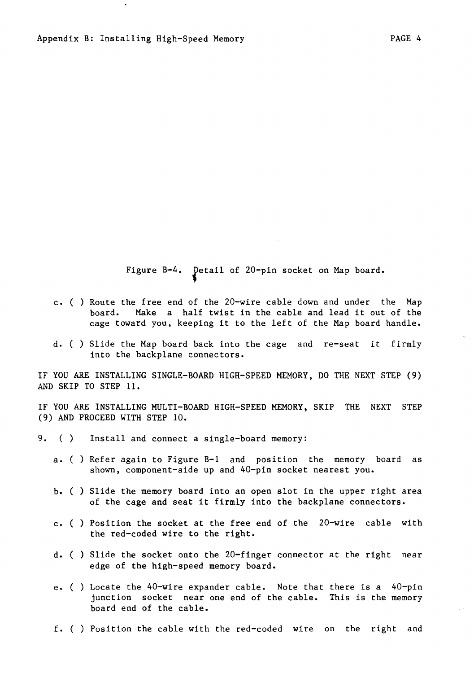c. ( ) Route the free end of the 20-wire cable down and under the Map board. Make a half twist in the cable and lead it out of the

Figure B-4. Detail of 20-pin socket on Map board.

- cage toward you, keeping it to the left of the Map board handle.
- d. ( ) Slide the Map board back into the cage and re-seat it firmly into the backplane connectors.

IF YOU ARE INSTALLING SINGLE-BOARD HIGH-SPEED MEMORY, DO THE NEXT STEP (9) AND SKIP TO STEP 11.

IF YOU ARE INSTALLING MULTI-BOARD HIGH-SPEED MEMORY, SKIP THE NEXT STEP (9) AND PROCEED WITH STEP 10.

9. () Install and connect a single-board memory:

- a. ( ) Refer again to Figure B-1 and position the memory board as shown, component-side up and 40-pin socket nearest you.
- b. ( ) Slide the memory board into an open slot in the upper right area of the cage and seat it firmly into the backplane connectors.
- c. ( ) Position the socket at the free end of the 20-wire cable with the red-coded wire to the right.
- d. ( ) Slide the socket onto the 20-finger connector at the right near edge of the high-speed memory board.
- e. ( ) Locate the 40-wire expander cable. Note that there is a 40-pin junction socket near one end of the cable. This is the memory board end of the cable.

f. ( ) Position the cable with the red-coded wire on the right and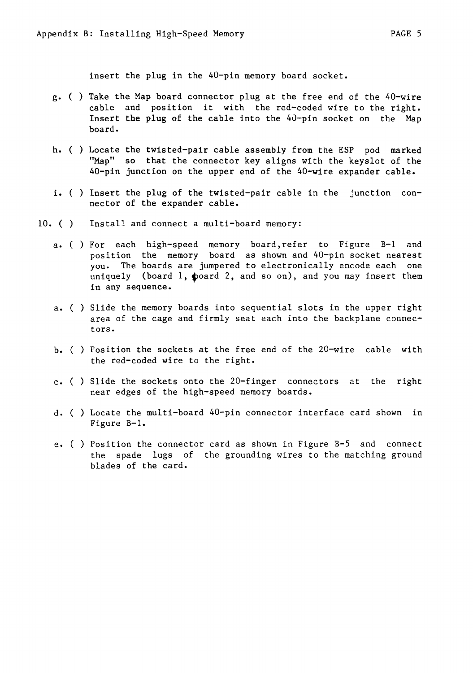insert the plug in the 40-pin memory board socket.

- g. ( ) Take the Map board connector plug at the free end of the 40-wire cable and position it with the red-coded wire to the right. Insert the plug of the cable into the 40-pin socket on the Map board.
- h. ( ) Locate the twisted-pair cable assembly from the ESP pod marked "Map" so that the connector key aligns with the keyslot of the 40-pin junction on the upper end of the 40-wire expander cable.
- i. ( ) Insert the plug of the twisted-pair cable in the junction connector of the expander cable.
- 10. ( ) Install and connect a multi-board memory:
	- a. ( ) For each high-speed memory board,refer to Figure B-1 and position the memory board as shown and 40-pin socket nearest you. The boards are jumpered to electronically encode each one uniquely (board 1, poard 2, and so on), and you may insert them in any sequence.
	- a. ( ) Slide the memory boards into sequential slots in the upper right area of the cage and firmly seat each into the backplane connectors.
	- b. ( ) Position the sockets at the free end of the 20-wire cable with the red-coded wire to the right.
	- c. ( ) Slide the sockets onto the 20-finger connectors at the right near edges of the high-speed memory boards.
	- d. ( ) Locate the multi-board 40-pin connector interface card shown in Figure B-1.
	- e. ( ) Position the connector card as shown in Figure B-S and connect the spade lugs of the grounding wires to the matching ground blades of the card.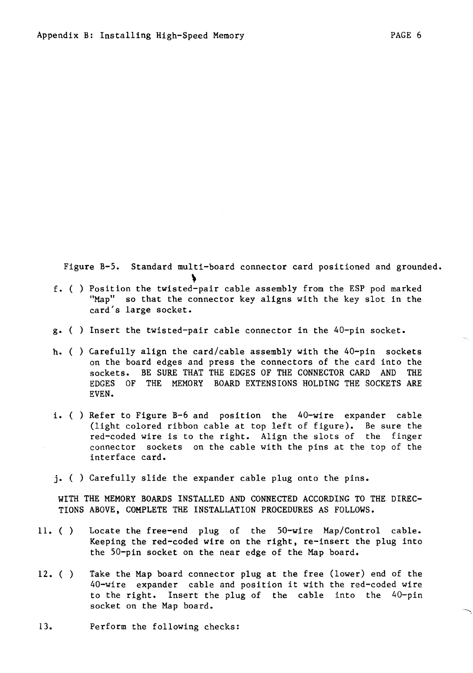Figure B-5. Standard multi-board connector card positioned and grounded.

- <sup>~</sup>f. ( ) Position the twisted-pair cable assembly from the ESP pod marked "Map" so that the connector key aligns with the key slot in the card's large socket.
- g. ( ) Insert the twisted-pair cable connector in the 40-pin socket.
- h. ( ) Carefully align the card/cable assembly with the 40-pin sockets on the board edges and press the connectors of the card into the sockets. BE SURE THAT THE EDGES OF THE CONNECTOR CARD AND THE EDGES OF THE MEMORY BOARD EXTENSIONS HOLDING THE SOCKETS ARE EVEN.
- i. ( ) Refer to Figure B-6 and position the 40-wire expander cable (light colored ribbon cable at top left of figure). Be sure the red-coded wire is to the right. Align the slots of the finger connector sockets on the cable with the pins at the top of the interface card.
- j. ( ) Carefully slide the expander cable plug onto the pins.

WITH THE MEMORY BOARDS INSTALLED AND CONNECTED ACCORDING TO THE DIREC-TIONS ABOVE, COMPLETE THE INSTALLATION PROCEDURES AS FOLLOWS.

- ll. ( ) Locate the free-end plug of the SO-wire Map/Control cable. Keeping the red-coded wire on the right, re-insert the plug into the 50-pin socket on the near edge of the Map board.
- $12.$  ( ) Take the Map board connector plug at the free (lower) end of the 40-wire expander cable and position it with the red-coded wire to the right. Insert the plug of the cable into the 40-pin socket on the Map board.
- 13. Perform the following checks: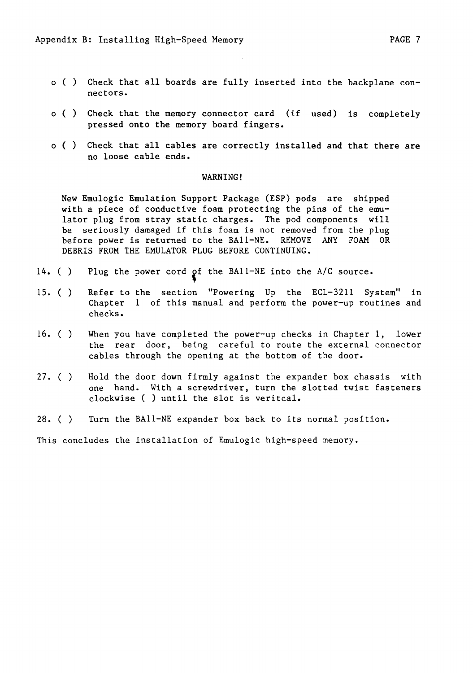- o () Check that all boards are fully inserted into the backplane connectors.
- o () Check that the memory connector card (if used) is completely pressed onto the memory board fingers.
- o () Check that all cables are correctly installed and that there are no loose cable ends.

### WARNING!

New Emulogic Emulation Support Package (ESP) pods are shipped with a piece of conductive foam protecting the pins of the emulator plug from stray static charges. The pod components will be seriously damaged if this foam is not removed from the plug before power is returned to the BAII-NE. REMOVE ANY FOAM OR DEBRIS FROM THE EMULATOR PLUG BEFORE CONTINUING.

- 14. ( Plug the power cord of the BAI1-NE into the A/C source.
- IS. ( ) Refer to the section "Powering Up the ECL-3211 System" in Chapter 1 of this manual and perform the power-up routines and checks.
- 16. ( ) When you have completed the power-up checks in Chapter 1, lower the rear door, being careful to route the external connector cables through the opening at the bottom of the door.
- 27. ( ) Hold the door down firmly against the expander box chassis with one hand. With a screwdriver, turn the slotted twist fasteners clockwise ( ) until the slot is veritcal.
- 28. ( ) Turn the BAII-NE expander box back to its normal position.

This concludes the installation of Emulogic high-speed memory.